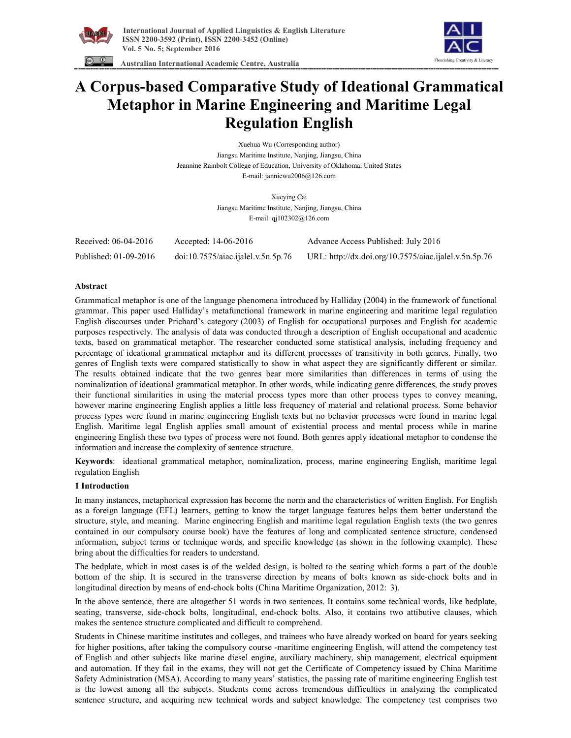



 **Australian International Academic Centre, Australia** 

# **A Corpus-based Comparative Study of Ideational Grammatical Metaphor in Marine Engineering and Maritime Legal Regulation English**

Xuehua Wu (Corresponding author) Jiangsu Maritime Institute, Nanjing, Jiangsu, China Jeannine Rainbolt College of Education, University of Oklahoma, United States E-mail: janniewu2006@126.com

> Xueying Cai Jiangsu Maritime Institute, Nanjing, Jiangsu, China E-mail: qj102302@126.com

| Received: 06-04-2016  | Accepted: $14-06-2016$             | Advance Access Published: July 2016                   |
|-----------------------|------------------------------------|-------------------------------------------------------|
| Published: 01-09-2016 | doi:10.7575/aiac.ijalel.v.5n.5p.76 | URL: http://dx.doi.org/10.7575/aiac.ijalel.v.5n.5p.76 |

# **Abstract**

Grammatical metaphor is one of the language phenomena introduced by Halliday (2004) in the framework of functional grammar. This paper used Halliday's metafunctional framework in marine engineering and maritime legal regulation English discourses under Prichard's category (2003) of English for occupational purposes and English for academic purposes respectively. The analysis of data was conducted through a description of English occupational and academic texts, based on grammatical metaphor. The researcher conducted some statistical analysis, including frequency and percentage of ideational grammatical metaphor and its different processes of transitivity in both genres. Finally, two genres of English texts were compared statistically to show in what aspect they are significantly different or similar. The results obtained indicate that the two genres bear more similarities than differences in terms of using the nominalization of ideational grammatical metaphor. In other words, while indicating genre differences, the study proves their functional similarities in using the material process types more than other process types to convey meaning, however marine engineering English applies a little less frequency of material and relational process. Some behavior process types were found in marine engineering English texts but no behavior processes were found in marine legal English. Maritime legal English applies small amount of existential process and mental process while in marine engineering English these two types of process were not found. Both genres apply ideational metaphor to condense the information and increase the complexity of sentence structure.

**Keywords**: ideational grammatical metaphor, nominalization, process, marine engineering English, maritime legal regulation English

# **1 Introduction**

In many instances, metaphorical expression has become the norm and the characteristics of written English. For English as a foreign language (EFL) learners, getting to know the target language features helps them better understand the structure, style, and meaning. Marine engineering English and maritime legal regulation English texts (the two genres contained in our compulsory course book) have the features of long and complicated sentence structure, condensed information, subject terms or technique words, and specific knowledge (as shown in the following example). These bring about the difficulties for readers to understand.

The bedplate, which in most cases is of the welded design, is bolted to the seating which forms a part of the double bottom of the ship. It is secured in the transverse direction by means of bolts known as side-chock bolts and in longitudinal direction by means of end-chock bolts (China Maritime Organization, 2012: 3).

In the above sentence, there are altogether 51 words in two sentences. It contains some technical words, like bedplate, seating, transverse, side-chock bolts, longitudinal, end-chock bolts. Also, it contains two attibutive clauses, which makes the sentence structure complicated and difficult to comprehend.

Students in Chinese maritime institutes and colleges, and trainees who have already worked on board for years seeking for higher positions, after taking the compulsory course -maritime engineering English, will attend the competency test of English and other subjects like marine diesel engine, auxiliary machinery, ship management, electrical equipment and automation. If they fail in the exams, they will not get the Certificate of Competency issued by China Maritime Safety Administration (MSA). According to many years' statistics, the passing rate of maritime engineering English test is the lowest among all the subjects. Students come across tremendous difficulties in analyzing the complicated sentence structure, and acquiring new technical words and subject knowledge. The competency test comprises two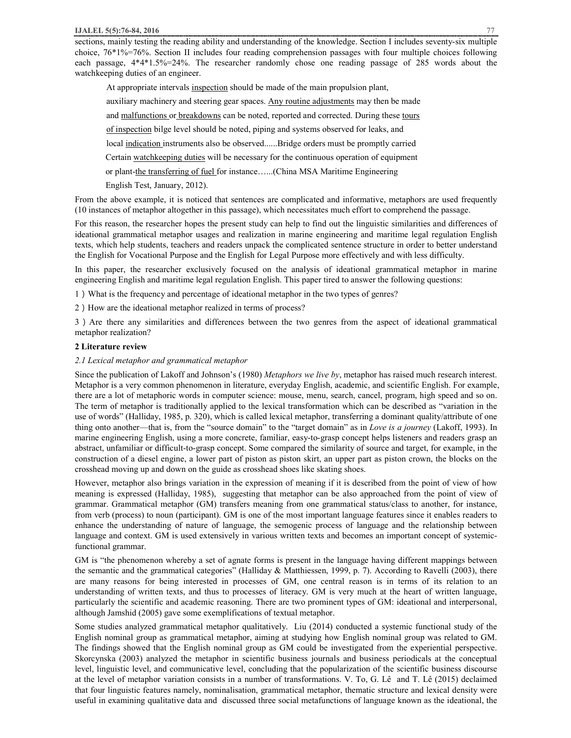sections, mainly testing the reading ability and understanding of the knowledge. Section I includes seventy-six multiple choice, 76\*1%=76%. Section II includes four reading comprehension passages with four multiple choices following each passage, 4\*4\*1.5%=24%. The researcher randomly chose one reading passage of 285 words about the watchkeeping duties of an engineer.

At appropriate intervals inspection should be made of the main propulsion plant, auxiliary machinery and steering gear spaces. Any routine adjustments may then be made and malfunctions or breakdowns can be noted, reported and corrected. During these tours of inspection bilge level should be noted, piping and systems observed for leaks, and local indication instruments also be observed......Bridge orders must be promptly carried Certain watchkeeping duties will be necessary for the continuous operation of equipment or plant-the transferring of fuel for instance…...(China MSA Maritime Engineering English Test, January, 2012).

From the above example, it is noticed that sentences are complicated and informative, metaphors are used frequently (10 instances of metaphor altogether in this passage), which necessitates much effort to comprehend the passage.

For this reason, the researcher hopes the present study can help to find out the linguistic similarities and differences of ideational grammatical metaphor usages and realization in marine engineering and maritime legal regulation English texts, which help students, teachers and readers unpack the complicated sentence structure in order to better understand the English for Vocational Purpose and the English for Legal Purpose more effectively and with less difficulty.

In this paper, the researcher exclusively focused on the analysis of ideational grammatical metaphor in marine engineering English and maritime legal regulation English. This paper tired to answer the following questions:

1)What is the frequency and percentage of ideational metaphor in the two types of genres?

2) How are the ideational metaphor realized in terms of process?

3)Are there any similarities and differences between the two genres from the aspect of ideational grammatical metaphor realization?

#### **2 Literature review**

#### *2.1 Lexical metaphor and grammatical metaphor*

Since the publication of Lakoff and Johnson's (1980) *Metaphors we live by*, metaphor has raised much research interest. Metaphor is a very common phenomenon in literature, everyday English, academic, and scientific English. For example, there are a lot of metaphoric words in computer science: mouse, menu, search, cancel, program, high speed and so on. The term of metaphor is traditionally applied to the lexical transformation which can be described as "variation in the use of words" (Halliday, 1985, p. 320), which is called lexical metaphor, transferring a dominant quality/attribute of one thing onto another—that is, from the "source domain" to the "target domain" as in *Love is a journey* (Lakoff, 1993). In marine engineering English, using a more concrete, familiar, easy-to-grasp concept helps listeners and readers grasp an abstract, unfamiliar or difficult-to-grasp concept. Some compared the similarity of source and target, for example, in the construction of a diesel engine, a lower part of piston as piston skirt, an upper part as piston crown, the blocks on the crosshead moving up and down on the guide as crosshead shoes like skating shoes.

However, metaphor also brings variation in the expression of meaning if it is described from the point of view of how meaning is expressed (Halliday, 1985), suggesting that metaphor can be also approached from the point of view of grammar. Grammatical metaphor (GM) transfers meaning from one grammatical status/class to another, for instance, from verb (process) to noun (participant). GM is one of the most important language features since it enables readers to enhance the understanding of nature of language, the semogenic process of language and the relationship between language and context. GM is used extensively in various written texts and becomes an important concept of systemicfunctional grammar.

GM is "the phenomenon whereby a set of agnate forms is present in the language having different mappings between the semantic and the grammatical categories" (Halliday & Matthiessen, 1999, p. 7). According to Ravelli (2003), there are many reasons for being interested in processes of GM, one central reason is in terms of its relation to an understanding of written texts, and thus to processes of literacy. GM is very much at the heart of written language, particularly the scientific and academic reasoning. There are two prominent types of GM: ideational and interpersonal, although Jamshid (2005) gave some exemplifications of textual metaphor.

Some studies analyzed grammatical metaphor qualitatively. Liu (2014) conducted a systemic functional study of the English nominal group as grammatical metaphor, aiming at studying how English nominal group was related to GM. The findings showed that the English nominal group as GM could be investigated from the experiential perspective. Skorcynska (2003) analyzed the metaphor in scientific business journals and business periodicals at the conceptual level, linguistic level, and communicative level, concluding that the popularization of the scientific business discourse at the level of metaphor variation consists in a number of transformations. V. To, G. Lê and T. Lê (2015) declaimed that four linguistic features namely, nominalisation, grammatical metaphor, thematic structure and lexical density were useful in examining qualitative data and discussed three social metafunctions of language known as the ideational, the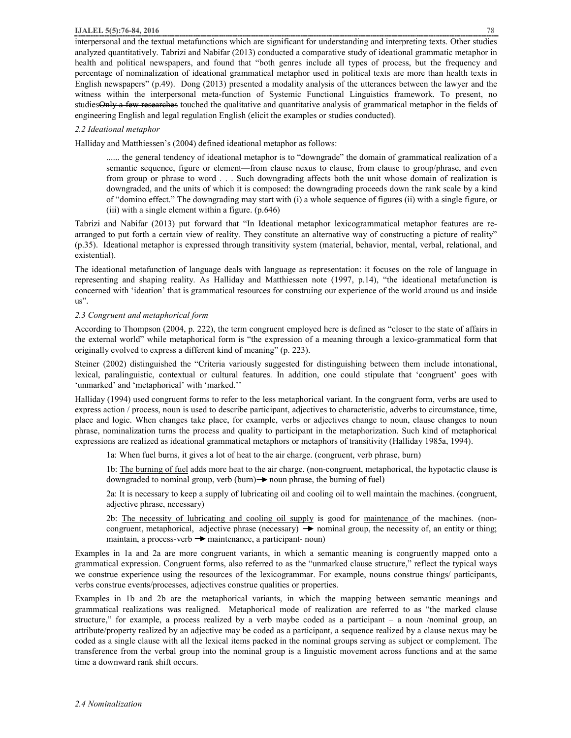interpersonal and the textual metafunctions which are significant for understanding and interpreting texts. Other studies analyzed quantitatively. Tabrizi and Nabifar (2013) conducted a comparative study of ideational grammatic metaphor in health and political newspapers, and found that "both genres include all types of process, but the frequency and percentage of nominalization of ideational grammatical metaphor used in political texts are more than health texts in English newspapers" (p.49). Dong (2013) presented a modality analysis of the utterances between the lawyer and the witness within the interpersonal meta-function of Systemic Functional Linguistics framework. To present, no studies Only a few researches touched the qualitative and quantitative analysis of grammatical metaphor in the fields of engineering English and legal regulation English (elicit the examples or studies conducted).

## *2.2 Ideational metaphor*

Halliday and Matthiessen's (2004) defined ideational metaphor as follows:

...... the general tendency of ideational metaphor is to "downgrade" the domain of grammatical realization of a semantic sequence, figure or element—from clause nexus to clause, from clause to group/phrase, and even from group or phrase to word . . . Such downgrading affects both the unit whose domain of realization is downgraded, and the units of which it is composed: the downgrading proceeds down the rank scale by a kind of "domino effect." The downgrading may start with (i) a whole sequence of figures (ii) with a single figure, or (iii) with a single element within a figure. (p.646)

Tabrizi and Nabifar (2013) put forward that "In Ideational metaphor lexicogrammatical metaphor features are rearranged to put forth a certain view of reality. They constitute an alternative way of constructing a picture of reality" (p.35). Ideational metaphor is expressed through transitivity system (material, behavior, mental, verbal, relational, and existential).

The ideational metafunction of language deals with language as representation: it focuses on the role of language in representing and shaping reality. As Halliday and Matthiessen note (1997, p.14), "the ideational metafunction is concerned with 'ideation' that is grammatical resources for construing our experience of the world around us and inside us".

## *2.3 Congruent and metaphorical form*

According to Thompson (2004, p. 222), the term congruent employed here is defined as "closer to the state of affairs in the external world" while metaphorical form is "the expression of a meaning through a lexico-grammatical form that originally evolved to express a different kind of meaning" (p. 223).

Steiner (2002) distinguished the "Criteria variously suggested for distinguishing between them include intonational, lexical, paralinguistic, contextual or cultural features. In addition, one could stipulate that 'congruent' goes with 'unmarked' and 'metaphorical' with 'marked.''

Halliday (1994) used congruent forms to refer to the less metaphorical variant. In the congruent form, verbs are used to express action / process, noun is used to describe participant, adjectives to characteristic, adverbs to circumstance, time, place and logic. When changes take place, for example, verbs or adjectives change to noun, clause changes to noun phrase, nominalization turns the process and quality to participant in the metaphorization. Such kind of metaphorical expressions are realized as ideational grammatical metaphors or metaphors of transitivity (Halliday 1985a, 1994).

1a: When fuel burns, it gives a lot of heat to the air charge. (congruent, verb phrase, burn)

1b: The burning of fuel adds more heat to the air charge. (non-congruent, metaphorical, the hypotactic clause is downgraded to nominal group, verb (burn)  $\rightarrow$  noun phrase, the burning of fuel)

2a: It is necessary to keep a supply of lubricating oil and cooling oil to well maintain the machines. (congruent, adjective phrase, necessary)

2b: The necessity of lubricating and cooling oil supply is good for maintenance of the machines. (noncongruent, metaphorical, adjective phrase (necessary)  $\rightarrow$  nominal group, the necessity of, an entity or thing; maintain, a process-verb  $\rightarrow$  maintenance, a participant- noun)

Examples in 1a and 2a are more congruent variants, in which a semantic meaning is congruently mapped onto a grammatical expression. Congruent forms, also referred to as the "unmarked clause structure," reflect the typical ways we construe experience using the resources of the lexicogrammar. For example, nouns construe things/ participants, verbs construe events/processes, adjectives construe qualities or properties.

Examples in 1b and 2b are the metaphorical variants, in which the mapping between semantic meanings and grammatical realizations was realigned. Metaphorical mode of realization are referred to as "the marked clause structure," for example, a process realized by a verb maybe coded as a participant – a noun /nominal group, an attribute/property realized by an adjective may be coded as a participant, a sequence realized by a clause nexus may be coded as a single clause with all the lexical items packed in the nominal groups serving as subject or complement. The transference from the verbal group into the nominal group is a linguistic movement across functions and at the same time a downward rank shift occurs.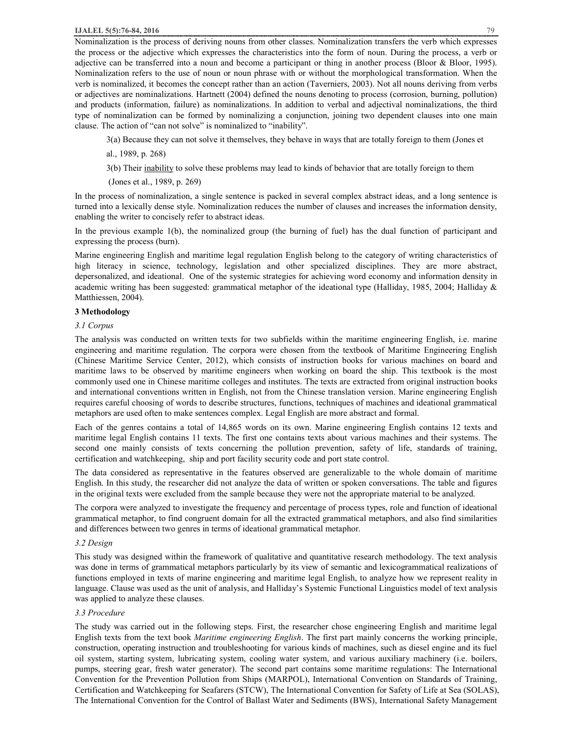Nominalization is the process of deriving nouns from other classes. Nominalization transfers the verb which expresses the process or the adjective which expresses the characteristics into the form of noun. During the process, a verb or adjective can be transferred into a noun and become a participant or thing in another process (Bloor & Bloor, 1995). Nominalization refers to the use of noun or noun phrase with or without the morphological transformation. When the verb is nominalized, it becomes the concept rather than an action (Taverniers, 2003). Not all nouns deriving from verbs or adjectives are nominalizations. Hartnett (2004) defined the nouns denoting to process (corrosion, burning, pollution) and products (information, failure) as nominalizations. In addition to verbal and adjectival nominalizations, the third type of nominalization can be formed by nominalizing a conjunction, joining two dependent clauses into one main clause. The action of "can not solve" is nominalized to "inability".

3(a) Because they can not solve it themselves, they behave in ways that are totally foreign to them (Jones et

al., 1989, p. 268)

3(b) Their inability to solve these problems may lead to kinds of behavior that are totally foreign to them

(Jones et al., 1989, p. 269)

In the process of nominalization, a single sentence is packed in several complex abstract ideas, and a long sentence is turned into a lexically dense style. Nominalization reduces the number of clauses and increases the information density, enabling the writer to concisely refer to abstract ideas.

In the previous example 1(b), the nominalized group (the burning of fuel) has the dual function of participant and expressing the process (burn).

Marine engineering English and maritime legal regulation English belong to the category of writing characteristics of high literacy in science, technology, legislation and other specialized disciplines. They are more abstract, depersonalized, and ideational. One of the systemic strategies for achieving word economy and information density in academic writing has been suggested: grammatical metaphor of the ideational type (Halliday, 1985, 2004; Halliday & Matthiessen, 2004).

## **3 Methodology**

#### *3.1 Corpus*

The analysis was conducted on written texts for two subfields within the maritime engineering English, i.e. marine engineering and maritime regulation. The corpora were chosen from the textbook of Maritime Engineering English (Chinese Maritime Service Center, 2012), which consists of instruction books for various machines on board and maritime laws to be observed by maritime engineers when working on board the ship. This textbook is the most commonly used one in Chinese maritime colleges and institutes. The texts are extracted from original instruction books and international conventions written in English, not from the Chinese translation version. Marine engineering English requires careful choosing of words to describe structures, functions, techniques of machines and ideational grammatical metaphors are used often to make sentences complex. Legal English are more abstract and formal.

Each of the genres contains a total of 14,865 words on its own. Marine engineering English contains 12 texts and maritime legal English contains 11 texts. The first one contains texts about various machines and their systems. The second one mainly consists of texts concerning the pollution prevention, safety of life, standards of training, certification and watchkeeping, ship and port facility security code and port state control.

The data considered as representative in the features observed are generalizable to the whole domain of maritime English. In this study, the researcher did not analyze the data of written or spoken conversations. The table and figures in the original texts were excluded from the sample because they were not the appropriate material to be analyzed.

The corpora were analyzed to investigate the frequency and percentage of process types, role and function of ideational grammatical metaphor, to find congruent domain for all the extracted grammatical metaphors, and also find similarities and differences between two genres in terms of ideational grammatical metaphor.

#### *3.2 Design*

This study was designed within the framework of qualitative and quantitative research methodology. The text analysis was done in terms of grammatical metaphors particularly by its view of semantic and lexicogrammatical realizations of functions employed in texts of marine engineering and maritime legal English, to analyze how we represent reality in language. Clause was used as the unit of analysis, and Halliday's Systemic Functional Linguistics model of text analysis was applied to analyze these clauses.

# *3.3 Procedure*

The study was carried out in the following steps. First, the researcher chose engineering English and maritime legal English texts from the text book *Maritime engineering English*. The first part mainly concerns the working principle, construction, operating instruction and troubleshooting for various kinds of machines, such as diesel engine and its fuel oil system, starting system, lubricating system, cooling water system, and various auxiliary machinery (i.e. boilers, pumps, steering gear, fresh water generator). The second part contains some maritime regulations: The International Convention for the Prevention Pollution from Ships (MARPOL), International Convention on Standards of Training, Certification and Watchkeeping for Seafarers (STCW), The International Convention for Safety of Life at Sea (SOLAS), The International Convention for the Control of Ballast Water and Sediments (BWS), International Safety Management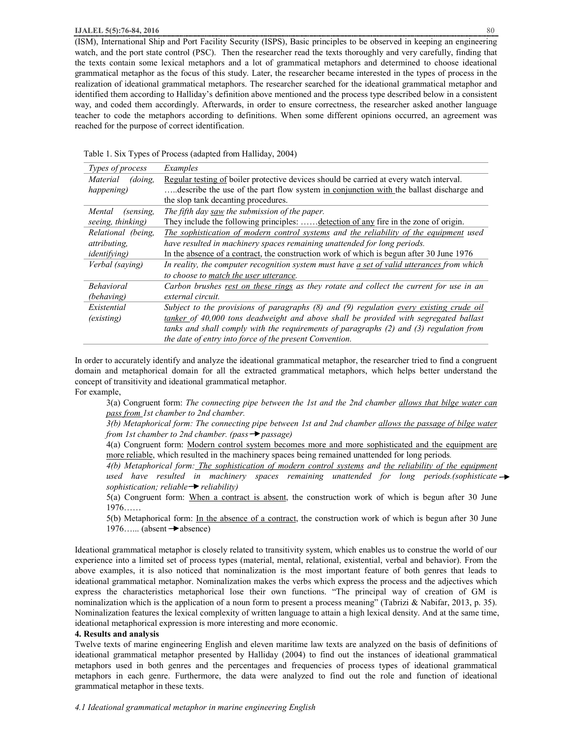(ISM), International Ship and Port Facility Security (ISPS), Basic principles to be observed in keeping an engineering watch, and the port state control (PSC). Then the researcher read the texts thoroughly and very carefully, finding that the texts contain some lexical metaphors and a lot of grammatical metaphors and determined to choose ideational grammatical metaphor as the focus of this study. Later, the researcher became interested in the types of process in the realization of ideational grammatical metaphors. The researcher searched for the ideational grammatical metaphor and identified them according to Halliday's definition above mentioned and the process type described below in a consistent way, and coded them accordingly. Afterwards, in order to ensure correctness, the researcher asked another language teacher to code the metaphors according to definitions. When some different opinions occurred, an agreement was reached for the purpose of correct identification.

| Types of process     | Examples                                                                                   |
|----------------------|--------------------------------------------------------------------------------------------|
| Material<br>(doing.  | Regular testing of boiler protective devices should be carried at every watch interval.    |
| happening)           | describe the use of the part flow system in conjunction with the ballast discharge and     |
|                      | the slop tank decanting procedures.                                                        |
| Mental<br>(sensing,  | The fifth day saw the submission of the paper.                                             |
| seeing, thinking)    | They include the following principles:  detection of any fire in the zone of origin.       |
| Relational (being,   | The sophistication of modern control systems and the reliability of the equipment used     |
| attributing,         | have resulted in machinery spaces remaining unattended for long periods.                   |
| <i>identifying</i> ) | In the absence of a contract, the construction work of which is begun after 30 June 1976   |
| Verbal (saying)      | In reality, the computer recognition system must have a set of valid utterances from which |
|                      | to choose to match the user utterance.                                                     |
| <b>Behavioral</b>    | Carbon brushes rest on these rings as they rotate and collect the current for use in an    |
| (behaving)           | external circuit.                                                                          |
| Existential          | Subject to the provisions of paragraphs (8) and (9) regulation every existing crude oil    |
| <i>(existing)</i>    | tanker of 40,000 tons deadweight and above shall be provided with segregated ballast       |
|                      | tanks and shall comply with the requirements of paragraphs (2) and (3) regulation from     |
|                      | the date of entry into force of the present Convention.                                    |

In order to accurately identify and analyze the ideational grammatical metaphor, the researcher tried to find a congruent domain and metaphorical domain for all the extracted grammatical metaphors, which helps better understand the concept of transitivity and ideational grammatical metaphor.

For example,

3(a) Congruent form: *The connecting pipe between the 1st and the 2nd chamber allows that bilge water can pass from 1st chamber to 2nd chamber.*

3(b) Metaphorical form: The connecting pipe between 1st and 2nd chamber allows the passage of bilge water *from 1st chamber to 2nd chamber. (pass*  $\rightarrow$  *passage)* 

4(a) Congruent form: Modern control system becomes more and more sophisticated and the equipment are more reliable, which resulted in the machinery spaces being remained unattended for long periods*.*

*4(b) Metaphorical form: The sophistication of modern control systems and the reliability of the equipment used have resulted in machinery spaces remaining unattended for long periods.(sophisticate sophistication; reliable*  $\rightarrow$  *reliability*)

5(a) Congruent form: When a contract is absent, the construction work of which is begun after 30 June 1976……

5(b) Metaphorical form: In the absence of a contract, the construction work of which is begun after 30 June 1976...... (absent  $\rightarrow$  absence)

Ideational grammatical metaphor is closely related to transitivity system, which enables us to construe the world of our experience into a limited set of process types (material, mental, relational, existential, verbal and behavior). From the above examples, it is also noticed that nominalization is the most important feature of both genres that leads to ideational grammatical metaphor. Nominalization makes the verbs which express the process and the adjectives which express the characteristics metaphorical lose their own functions. "The principal way of creation of GM is nominalization which is the application of a noun form to present a process meaning" (Tabrizi & Nabifar, 2013, p. 35). Nominalization features the lexical complexity of written language to attain a high lexical density. And at the same time, ideational metaphorical expression is more interesting and more economic.

#### **4. Results and analysis**

Twelve texts of marine engineering English and eleven maritime law texts are analyzed on the basis of definitions of ideational grammatical metaphor presented by Halliday (2004) to find out the instances of ideational grammatical metaphors used in both genres and the percentages and frequencies of process types of ideational grammatical metaphors in each genre. Furthermore, the data were analyzed to find out the role and function of ideational grammatical metaphor in these texts.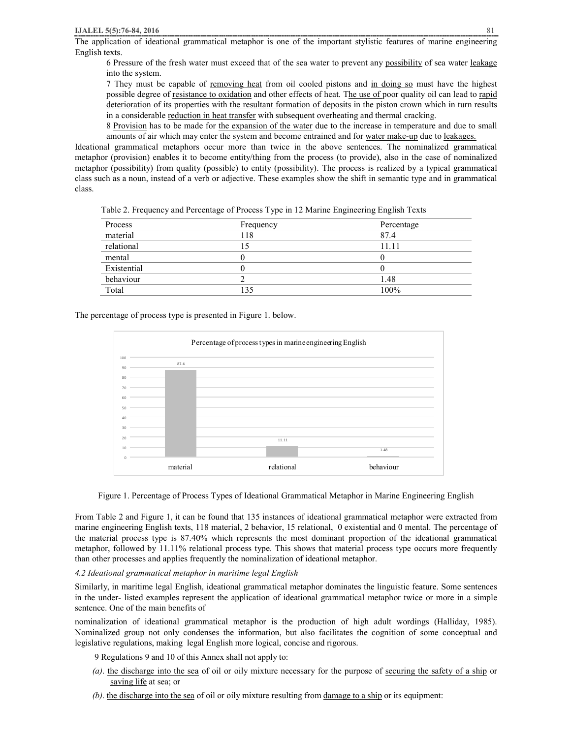The application of ideational grammatical metaphor is one of the important stylistic features of marine engineering English texts.

6 Pressure of the fresh water must exceed that of the sea water to prevent any possibility of sea water leakage into the system.

7 They must be capable of removing heat from oil cooled pistons and in doing so must have the highest possible degree of resistance to oxidation and other effects of heat. The use of poor quality oil can lead to rapid deterioration of its properties with the resultant formation of deposits in the piston crown which in turn results in a considerable reduction in heat transfer with subsequent overheating and thermal cracking.

8 Provision has to be made for the expansion of the water due to the increase in temperature and due to small amounts of air which may enter the system and become entrained and for water make-up due to leakages.

Ideational grammatical metaphors occur more than twice in the above sentences. The nominalized grammatical metaphor (provision) enables it to become entity/thing from the process (to provide), also in the case of nominalized metaphor (possibility) from quality (possible) to entity (possibility). The process is realized by a typical grammatical class such as a noun, instead of a verb or adjective. These examples show the shift in semantic type and in grammatical class.

| Table 2. Frequency and Percentage of Process Type in 12 Marine Engineering English Texts |  |  |  |  |  |
|------------------------------------------------------------------------------------------|--|--|--|--|--|
|                                                                                          |  |  |  |  |  |

| Process     | Frequency | Percentage |
|-------------|-----------|------------|
| material    | 118       | 87.4       |
| relational  |           | 11.11      |
| mental      |           |            |
| Existential |           |            |
| behaviour   |           | 1.48       |
| Total       | 135       | 100%       |

The percentage of process type is presented in Figure 1. below.



Figure 1. Percentage of Process Types of Ideational Grammatical Metaphor in Marine Engineering English

From Table 2 and Figure 1, it can be found that 135 instances of ideational grammatical metaphor were extracted from marine engineering English texts, 118 material, 2 behavior, 15 relational, 0 existential and 0 mental. The percentage of the material process type is 87.40% which represents the most dominant proportion of the ideational grammatical metaphor, followed by 11.11% relational process type. This shows that material process type occurs more frequently than other processes and applies frequently the nominalization of ideational metaphor.

*4.2 Ideational grammatical metaphor in maritime legal English* 

Similarly, in maritime legal English, ideational grammatical metaphor dominates the linguistic feature. Some sentences in the under- listed examples represent the application of ideational grammatical metaphor twice or more in a simple sentence. One of the main benefits of

nominalization of ideational grammatical metaphor is the production of high adult wordings (Halliday, 1985). Nominalized group not only condenses the information, but also facilitates the cognition of some conceptual and legislative regulations, making legal English more logical, concise and rigorous.

9 Regulations 9 and 10 of this Annex shall not apply to:

- *(a)*. the discharge into the sea of oil or oily mixture necessary for the purpose of securing the safety of a ship or saving life at sea; or
- *(b)*. the discharge into the sea of oil or oily mixture resulting from damage to a ship or its equipment: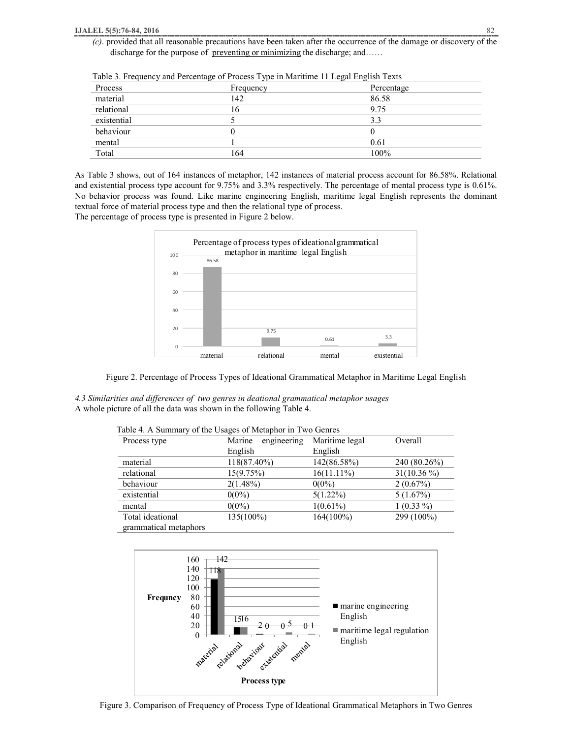*(c)*. provided that all reasonable precautions have been taken after the occurrence of the damage or discovery of the discharge for the purpose of preventing or minimizing the discharge; and……

|             | o<br>ノー   | $\circ$<br>$\circ$ |
|-------------|-----------|--------------------|
| Process     | Frequency | Percentage         |
| material    | 142       | 86.58              |
| relational  | l6        | 9.75               |
| existential |           | 3.3                |
| behaviour   |           |                    |
| mental      |           | 0.61               |
| Total       | 164       | 100%               |

Table 3. Frequency and Percentage of Process Type in Maritime 11 Legal English Texts

As Table 3 shows, out of 164 instances of metaphor, 142 instances of material process account for 86.58%. Relational and existential process type account for 9.75% and 3.3% respectively. The percentage of mental process type is 0.61%. No behavior process was found. Like marine engineering English, maritime legal English represents the dominant textual force of material process type and then the relational type of process.

The percentage of process type is presented in Figure 2 below.



Figure 2. Percentage of Process Types of Ideational Grammatical Metaphor in Maritime Legal English

*4.3 Similarities and differences of two genres in deational grammatical metaphor usages*  A whole picture of all the data was shown in the following Table 4.

| Process type          | Marine<br>engineering | Maritime legal | Overall       |
|-----------------------|-----------------------|----------------|---------------|
|                       | English               | English        |               |
| material              | 118(87.40%)           | 142(86.58%)    | 240 (80.26%)  |
| relational            | 15(9.75%)             | $16(11.11\%)$  | $31(10.36\%)$ |
| behaviour             | $2(1.48\%)$           | $0(0\%)$       | 2(0.67%)      |
| existential           | $0(0\%)$              | $5(1.22\%)$    | 5(1.67%)      |
| mental                | $0(0\%)$              | $1(0.61\%)$    | $1(0.33\%)$   |
| Total ideational      | $135(100\%)$          | $164(100\%)$   | 299 (100%)    |
| grammatical metaphors |                       |                |               |

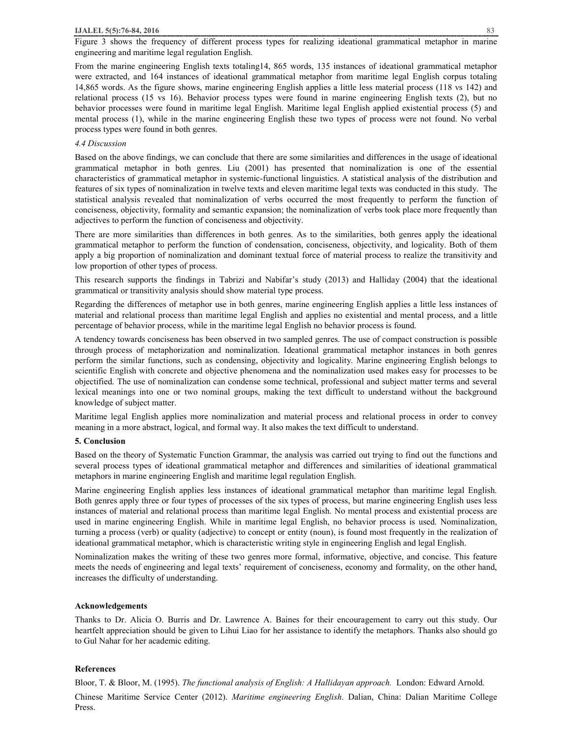Figure 3 shows the frequency of different process types for realizing ideational grammatical metaphor in marine engineering and maritime legal regulation English.

From the marine engineering English texts totaling14, 865 words, 135 instances of ideational grammatical metaphor were extracted, and 164 instances of ideational grammatical metaphor from maritime legal English corpus totaling 14,865 words. As the figure shows, marine engineering English applies a little less material process (118 vs 142) and relational process (15 vs 16). Behavior process types were found in marine engineering English texts (2), but no behavior processes were found in maritime legal English. Maritime legal English applied existential process (5) and mental process (1), while in the marine engineering English these two types of process were not found. No verbal process types were found in both genres.

## *4.4 Discussion*

Based on the above findings, we can conclude that there are some similarities and differences in the usage of ideational grammatical metaphor in both genres. Liu (2001) has presented that nominalization is one of the essential characteristics of grammatical metaphor in systemic-functional linguistics. A statistical analysis of the distribution and features of six types of nominalization in twelve texts and eleven maritime legal texts was conducted in this study. The statistical analysis revealed that nominalization of verbs occurred the most frequently to perform the function of conciseness, objectivity, formality and semantic expansion; the nominalization of verbs took place more frequently than adjectives to perform the function of conciseness and objectivity.

There are more similarities than differences in both genres. As to the similarities, both genres apply the ideational grammatical metaphor to perform the function of condensation, conciseness, objectivity, and logicality. Both of them apply a big proportion of nominalization and dominant textual force of material process to realize the transitivity and low proportion of other types of process.

This research supports the findings in Tabrizi and Nabifar's study (2013) and Halliday (2004) that the ideational grammatical or transitivity analysis should show material type process.

Regarding the differences of metaphor use in both genres, marine engineering English applies a little less instances of material and relational process than maritime legal English and applies no existential and mental process, and a little percentage of behavior process, while in the maritime legal English no behavior process is found.

A tendency towards conciseness has been observed in two sampled genres. The use of compact construction is possible through process of metaphorization and nominalization. Ideational grammatical metaphor instances in both genres perform the similar functions, such as condensing, objectivity and logicality. Marine engineering English belongs to scientific English with concrete and objective phenomena and the nominalization used makes easy for processes to be objectified. The use of nominalization can condense some technical, professional and subject matter terms and several lexical meanings into one or two nominal groups, making the text difficult to understand without the background knowledge of subject matter.

Maritime legal English applies more nominalization and material process and relational process in order to convey meaning in a more abstract, logical, and formal way. It also makes the text difficult to understand.

# **5. Conclusion**

Based on the theory of Systematic Function Grammar, the analysis was carried out trying to find out the functions and several process types of ideational grammatical metaphor and differences and similarities of ideational grammatical metaphors in marine engineering English and maritime legal regulation English.

Marine engineering English applies less instances of ideational grammatical metaphor than maritime legal English. Both genres apply three or four types of processes of the six types of process, but marine engineering English uses less instances of material and relational process than maritime legal English. No mental process and existential process are used in marine engineering English. While in maritime legal English, no behavior process is used. Nominalization, turning a process (verb) or quality (adjective) to concept or entity (noun), is found most frequently in the realization of ideational grammatical metaphor, which is characteristic writing style in engineering English and legal English.

Nominalization makes the writing of these two genres more formal, informative, objective, and concise. This feature meets the needs of engineering and legal texts' requirement of conciseness, economy and formality, on the other hand, increases the difficulty of understanding.

#### **Acknowledgements**

Thanks to Dr. Alicia O. Burris and Dr. Lawrence A. Baines for their encouragement to carry out this study. Our heartfelt appreciation should be given to Lihui Liao for her assistance to identify the metaphors. Thanks also should go to Gul Nahar for her academic editing.

#### **References**

Bloor, T. & Bloor, M. (1995). *The functional analysis of English: A Hallidayan approach.* London: Edward Arnold. Chinese Maritime Service Center (2012). *Maritime engineering English*. Dalian, China: Dalian Maritime College Press.